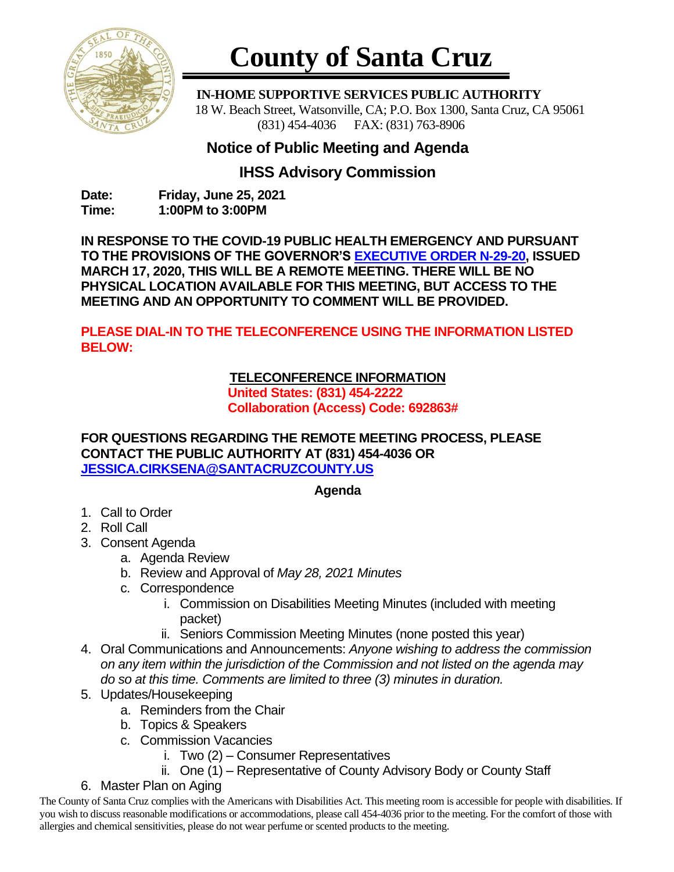

# **County of Santa Cruz**

 **IN-HOME SUPPORTIVE SERVICES PUBLIC AUTHORITY** 18 W. Beach Street, Watsonville, CA; P.O. Box 1300, Santa Cruz, CA 95061 (831) 454-4036 FAX: (831) 763-8906

## **Notice of Public Meeting and Agenda**

## **IHSS Advisory Commission**

**Date: Friday, June 25, 2021 Time: 1:00PM to 3:00PM**

**IN RESPONSE TO THE COVID-19 PUBLIC HEALTH EMERGENCY AND PURSUANT TO THE PROVISIONS OF THE GOVERNOR'S [EXECUTIVE ORDER N-29-20,](https://www.gov.ca.gov/wp-content/uploads/2020/03/3.17.20-N-29-20-EO.pdf) ISSUED MARCH 17, 2020, THIS WILL BE A REMOTE MEETING. THERE WILL BE NO PHYSICAL LOCATION AVAILABLE FOR THIS MEETING, BUT ACCESS TO THE MEETING AND AN OPPORTUNITY TO COMMENT WILL BE PROVIDED.**

**PLEASE DIAL-IN TO THE TELECONFERENCE USING THE INFORMATION LISTED BELOW:**

### **TELECONFERENCE INFORMATION**

**United States: (831) 454-2222 Collaboration (Access) Code: 692863#**

**FOR QUESTIONS REGARDING THE REMOTE MEETING PROCESS, PLEASE CONTACT THE PUBLIC AUTHORITY AT (831) 454-4036 OR [JESSICA.CIRKSENA@SANTACRUZCOUNTY.US](mailto:JESSICA.CIRKSENA@SANTACRUZCOUNTY.US)**

#### **Agenda**

- 1. Call to Order
- 2. Roll Call
- 3. Consent Agenda
	- a. Agenda Review
	- b. Review and Approval of *May 28, 2021 Minutes*
	- c. Correspondence
		- i. Commission on Disabilities Meeting Minutes (included with meeting packet)
		- ii. Seniors Commission Meeting Minutes (none posted this year)
- 4. Oral Communications and Announcements: *Anyone wishing to address the commission on any item within the jurisdiction of the Commission and not listed on the agenda may do so at this time. Comments are limited to three (3) minutes in duration.*
- 5. Updates/Housekeeping
	- a. Reminders from the Chair
	- b. Topics & Speakers
	- c. Commission Vacancies
		- i. Two (2) Consumer Representatives
		- ii. One (1) Representative of County Advisory Body or County Staff
- 6. Master Plan on Aging

The County of Santa Cruz complies with the Americans with Disabilities Act. This meeting room is accessible for people with disabilities. If you wish to discuss reasonable modifications or accommodations, please call 454-4036 prior to the meeting. For the comfort of those with allergies and chemical sensitivities, please do not wear perfume or scented products to the meeting.